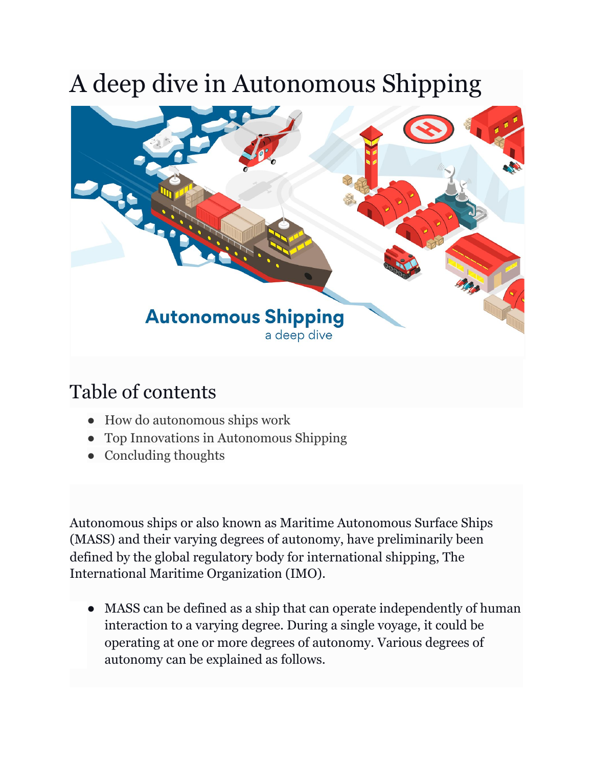# A deep dive in Autonomous Shipping



## Table of contents

- How do autonomous ships work
- Top Innovations in Autonomous Shipping
- Concluding thoughts

Autonomous ships or also known as Maritime Autonomous Surface Ships (MASS) and their varying degrees of autonomy, have preliminarily been defined by the global regulatory body for international shipping, The International Maritime Organization (IMO).

● MASS can be defined as a ship that can operate independently of human interaction to a varying degree. During a single voyage, it could be operating at one or more degrees of autonomy. Various degrees of autonomy can be explained as follows.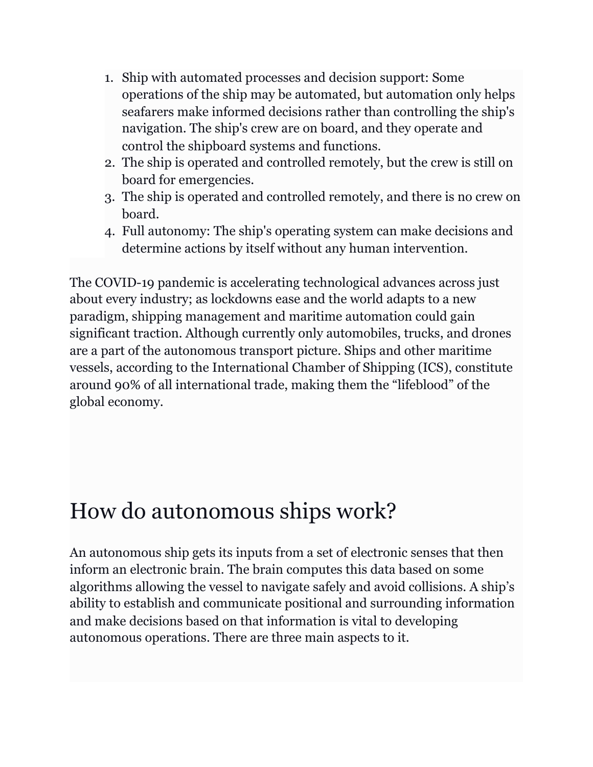- 1. Ship with automated processes and decision support: Some operations of the ship may be automated, but automation only helps seafarers make informed decisions rather than controlling the ship's navigation. The ship's crew are on board, and they operate and control the shipboard systems and functions.
- 2. The ship is operated and controlled remotely, but the crew is still on board for emergencies.
- 3. The ship is operated and controlled remotely, and there is no crew on board.
- 4. Full autonomy: The ship's operating system can make decisions and determine actions by itself without any human intervention.

The COVID-19 pandemic is accelerating technological advances across just about every industry; as lockdowns ease and the world adapts to a new paradigm, shipping management and maritime automation could gain significant traction. Although currently only automobiles, trucks, and drones are a part of the autonomous transport picture. Ships and other maritime vessels, according to the International Chamber of Shipping (ICS), constitute around 90% of all international trade, making them the "lifeblood" of the global economy.

## How do autonomous ships work?

An autonomous ship gets its inputs from a set of electronic senses that then inform an electronic brain. The brain computes this data based on some algorithms allowing the vessel to navigate safely and avoid collisions. A ship's ability to establish and communicate positional and surrounding information and make decisions based on that information is vital to developing autonomous operations. There are three main aspects to it.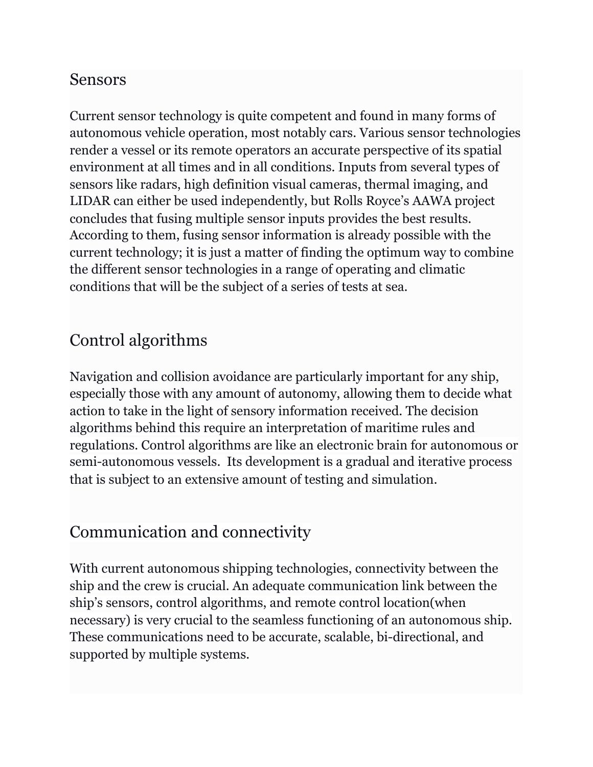### Sensors

Current sensor technology is quite competent and found in many forms of autonomous vehicle operation, most notably cars. Various sensor technologies render a vessel or its remote operators an accurate perspective of its spatial environment at all times and in all conditions. Inputs from several types of sensors like radars, high definition visual cameras, thermal imaging, and LIDAR can either be used independently, but Rolls Royce's AAWA project concludes that fusing multiple sensor inputs provides the best results. According to them, fusing sensor information is already possible with the current technology; it is just a matter of finding the optimum way to combine the different sensor technologies in a range of operating and climatic conditions that will be the subject of a series of tests at sea.

## Control algorithms

Navigation and collision avoidance are particularly important for any ship, especially those with any amount of autonomy, allowing them to decide what action to take in the light of sensory information received. The decision algorithms behind this require an interpretation of maritime rules and regulations. Control algorithms are like an electronic brain for autonomous or semi-autonomous vessels. Its development is a gradual and iterative process that is subject to an extensive amount of testing and simulation.

## Communication and connectivity

With current autonomous shipping technologies, connectivity between the ship and the crew is crucial. An adequate communication link between the ship's sensors, control algorithms, and remote control location(when necessary) is very crucial to the seamless functioning of an autonomous ship. These communications need to be accurate, scalable, bi-directional, and supported by multiple systems.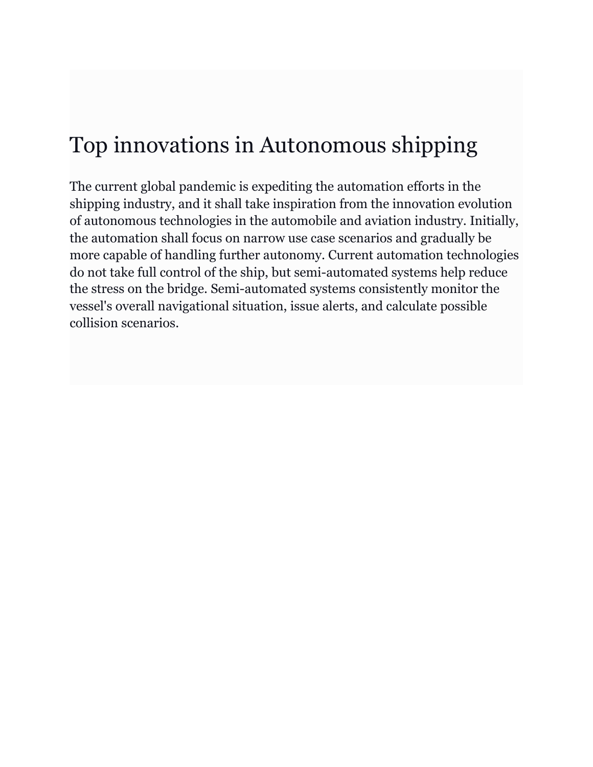## Top innovations in Autonomous shipping

The current global pandemic is expediting the automation efforts in the shipping industry, and it shall take inspiration from the innovation evolution of autonomous technologies in the automobile and aviation industry. Initially, the automation shall focus on narrow use case scenarios and gradually be more capable of handling further autonomy. Current automation technologies do not take full control of the ship, but semi-automated systems help reduce the stress on the bridge. Semi-automated systems consistently monitor the vessel's overall navigational situation, issue alerts, and calculate possible collision scenarios.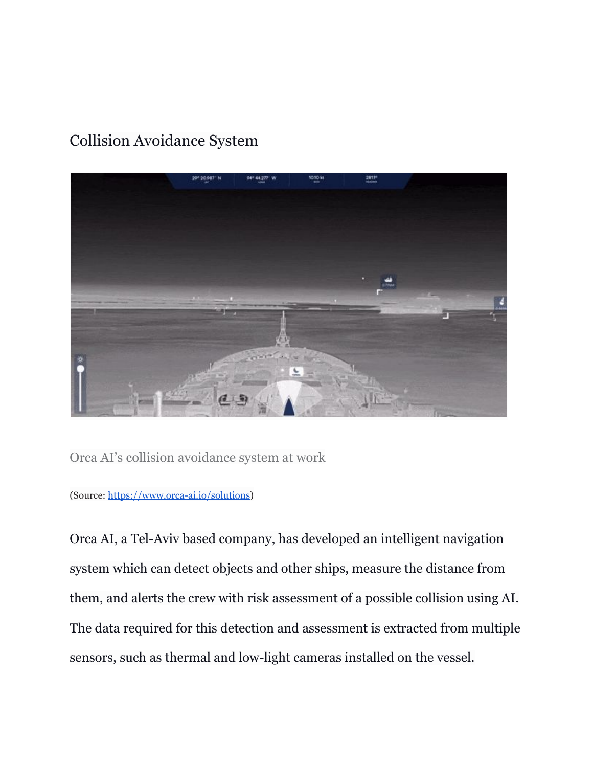## Collision Avoidance System



Orca AI's collision avoidance system at work

(Source: <https://www.orca-ai.io/solutions>)

Orca AI, a Tel-Aviv based company, has developed an intelligent navigation system which can detect objects and other ships, measure the distance from them, and alerts the crew with risk assessment of a possible collision using AI. The data required for this detection and assessment is extracted from multiple sensors, such as thermal and low-light cameras installed on the vessel.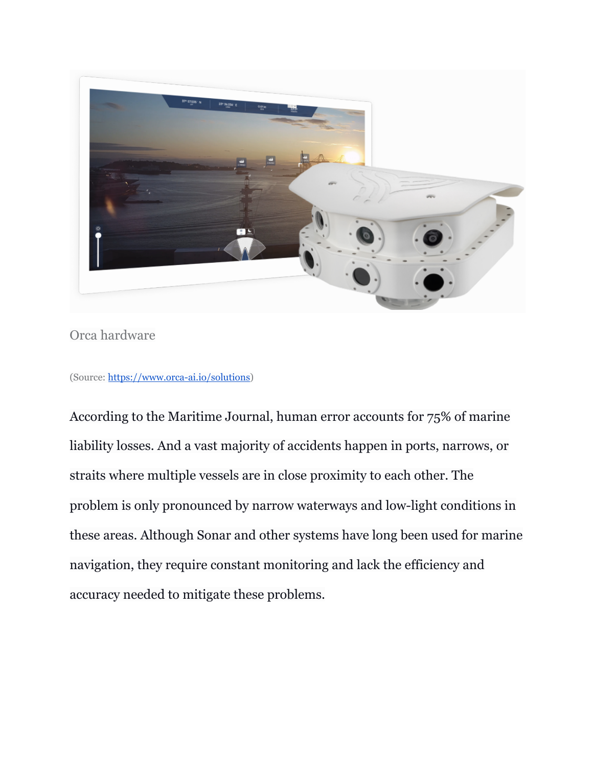

### Orca hardware

(Source: <https://www.orca-ai.io/solutions>)

According to the Maritime Journal, human error accounts for 75% of marine liability losses. And a vast majority of accidents happen in ports, narrows, or straits where multiple vessels are in close proximity to each other. The problem is only pronounced by narrow waterways and low-light conditions in these areas. Although Sonar and other systems have long been used for marine navigation, they require constant monitoring and lack the efficiency and accuracy needed to mitigate these problems.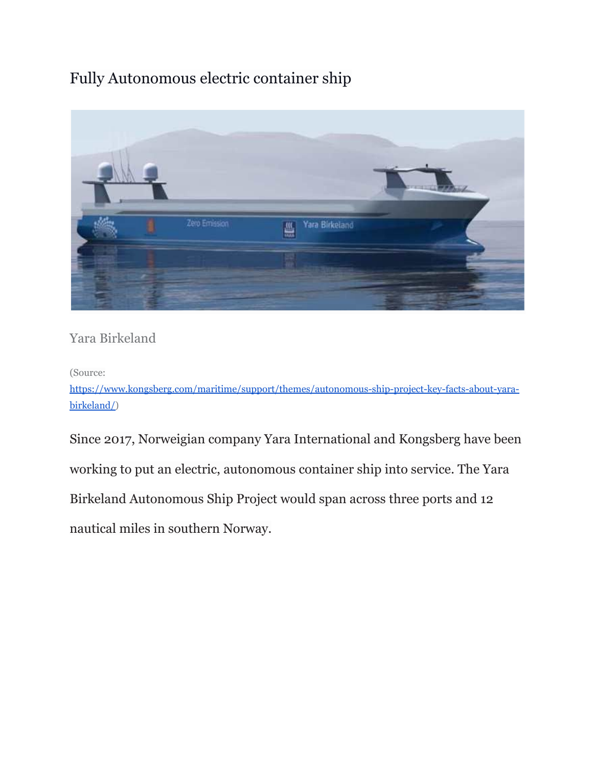## Fully Autonomous electric container ship



### Yara Birkeland

(Source:

[https://www.kongsberg.com/maritime/support/themes/autonomous-ship-project-key-facts-about-yara](https://www.kongsberg.com/maritime/support/themes/autonomous-ship-project-key-facts-about-yara-birkeland/)[birkeland/](https://www.kongsberg.com/maritime/support/themes/autonomous-ship-project-key-facts-about-yara-birkeland/))

Since 2017, Norweigian company Yara International and Kongsberg have been working to put an electric, autonomous container ship into service. The Yara Birkeland Autonomous Ship Project would span across three ports and 12 nautical miles in southern Norway.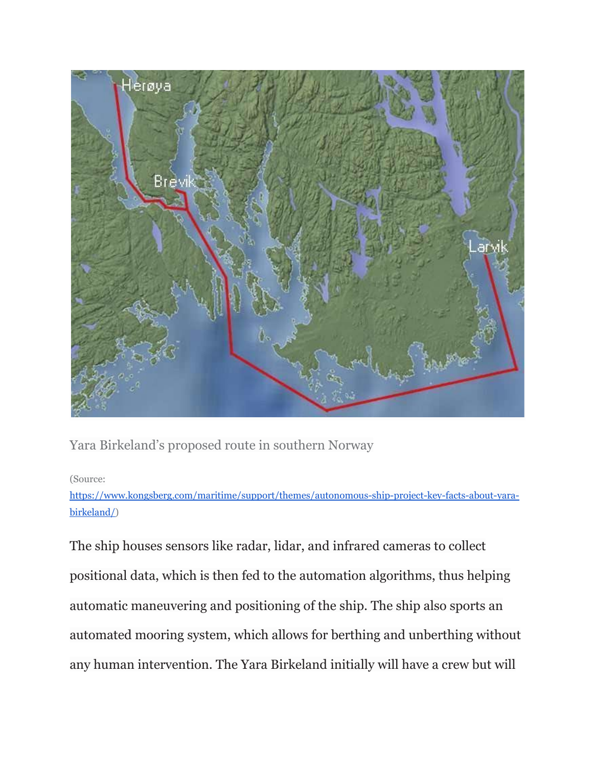

Yara Birkeland's proposed route in southern Norway

#### (Source:

[https://www.kongsberg.com/maritime/support/themes/autonomous-ship-project-key-facts-about-yara](https://www.kongsberg.com/maritime/support/themes/autonomous-ship-project-key-facts-about-yara-birkeland/)[birkeland/](https://www.kongsberg.com/maritime/support/themes/autonomous-ship-project-key-facts-about-yara-birkeland/))

The ship houses sensors like radar, lidar, and infrared cameras to collect positional data, which is then fed to the automation algorithms, thus helping automatic maneuvering and positioning of the ship. The ship also sports an automated mooring system, which allows for berthing and unberthing without any human intervention. The Yara Birkeland initially will have a crew but will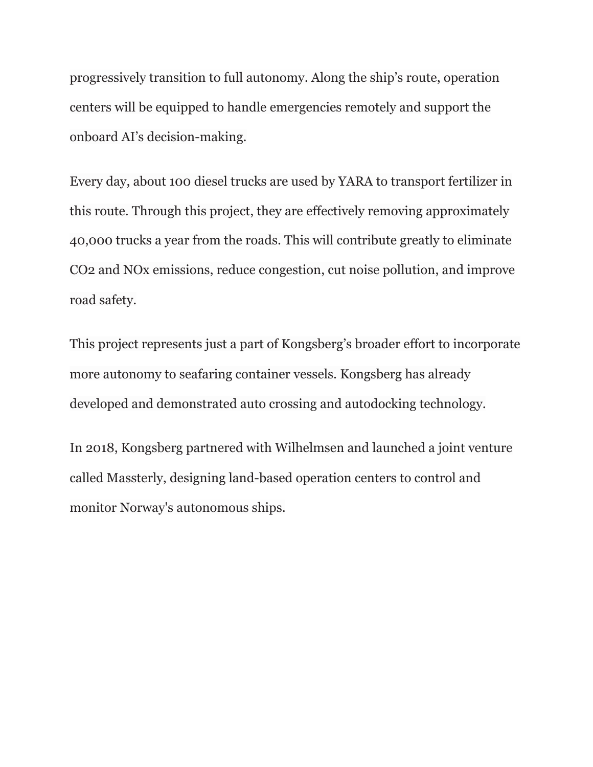progressively transition to full autonomy. Along the ship's route, operation centers will be equipped to handle emergencies remotely and support the onboard AI's decision-making.

Every day, about 100 diesel trucks are used by YARA to transport fertilizer in this route. Through this project, they are effectively removing approximately 40,000 trucks a year from the roads. This will contribute greatly to eliminate CO2 and NOx emissions, reduce congestion, cut noise pollution, and improve road safety.

This project represents just a part of Kongsberg's broader effort to incorporate more autonomy to seafaring container vessels. Kongsberg has already developed and demonstrated auto crossing and autodocking technology.

In 2018, Kongsberg partnered with Wilhelmsen and launched a joint venture called Massterly, designing land-based operation centers to control and monitor Norway's autonomous ships.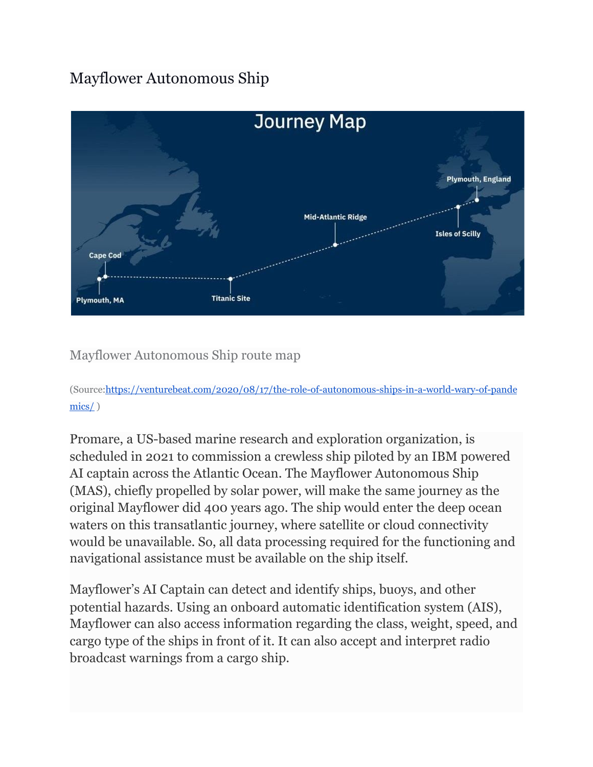## Mayflower Autonomous Ship



Mayflower Autonomous Ship route map

(Source[:https://venturebeat.com/2020/08/17/the-role-of-autonomous-ships-in-a-world-wary-of-pande](https://venturebeat.com/2020/08/17/the-role-of-autonomous-ships-in-a-world-wary-of-pandemics/) [mics/](https://venturebeat.com/2020/08/17/the-role-of-autonomous-ships-in-a-world-wary-of-pandemics/) )

Promare, a US-based marine research and exploration organization, is scheduled in 2021 to commission a crewless ship piloted by an IBM powered AI captain across the Atlantic Ocean. The Mayflower Autonomous Ship (MAS), chiefly propelled by solar power, will make the same journey as the original Mayflower did 400 years ago. The ship would enter the deep ocean waters on this transatlantic journey, where satellite or cloud connectivity would be unavailable. So, all data processing required for the functioning and navigational assistance must be available on the ship itself.

Mayflower's AI Captain can detect and identify ships, buoys, and other potential hazards. Using an onboard automatic identification system (AIS), Mayflower can also access information regarding the class, weight, speed, and cargo type of the ships in front of it. It can also accept and interpret radio broadcast warnings from a cargo ship.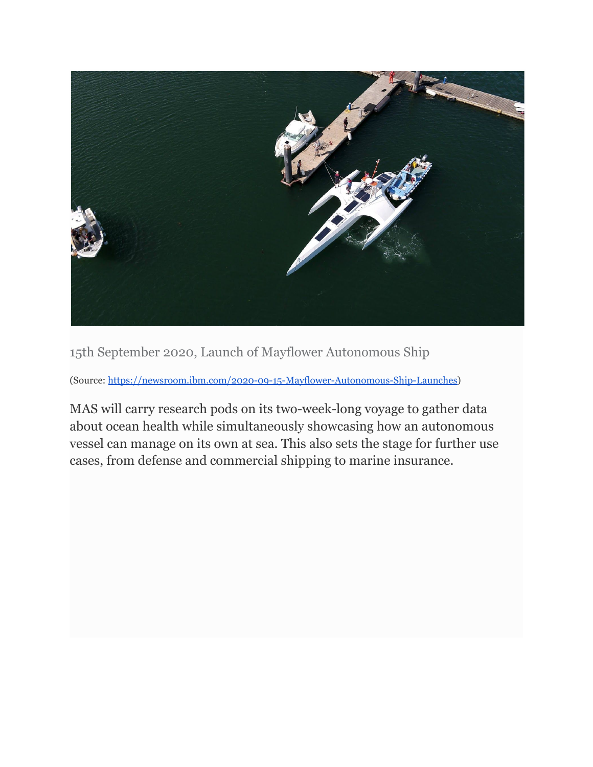

15th September 2020, Launch of Mayflower Autonomous Ship

(Source: <https://newsroom.ibm.com/2020-09-15-Mayflower-Autonomous-Ship-Launches>)

MAS will carry research pods on its two-week-long voyage to gather data about ocean health while simultaneously showcasing how an autonomous vessel can manage on its own at sea. This also sets the stage for further use cases, from defense and commercial shipping to marine insurance.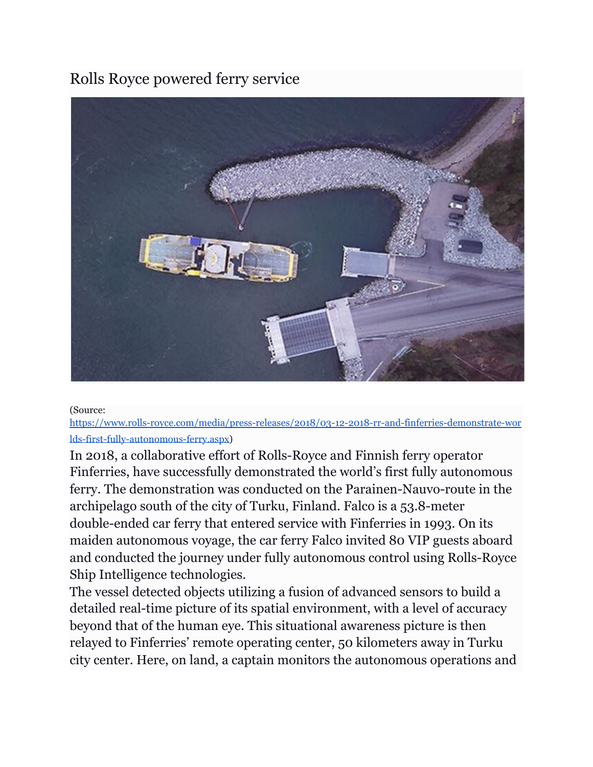### Rolls Royce powered ferry service



#### (Source:

[https://www.rolls-royce.com/media/press-releases/2018/03-12-2018-rr-and-finferries-demonstrate-wor](https://www.rolls-royce.com/media/press-releases/2018/03-12-2018-rr-and-finferries-demonstrate-worlds-first-fully-autonomous-ferry.aspx) [lds-first-fully-autonomous-ferry.aspx\)](https://www.rolls-royce.com/media/press-releases/2018/03-12-2018-rr-and-finferries-demonstrate-worlds-first-fully-autonomous-ferry.aspx)

In 2018, a collaborative effort of Rolls-Royce and Finnish ferry operator Finferries, have successfully demonstrated the world's first fully autonomous ferry. The demonstration was conducted on the Parainen-Nauvo-route in the archipelago south of the city of Turku, Finland. Falco is a 53.8-meter double-ended car ferry that entered service with Finferries in 1993. On its maiden autonomous voyage, the car ferry Falco invited 80 VIP guests aboard and conducted the journey under fully autonomous control using Rolls-Royce Ship Intelligence technologies.

The vessel detected objects utilizing a fusion of advanced sensors to build a detailed real-time picture of its spatial environment, with a level of accuracy beyond that of the human eye. This situational awareness picture is then relayed to Finferries' remote operating center, 50 kilometers away in Turku city center. Here, on land, a captain monitors the autonomous operations and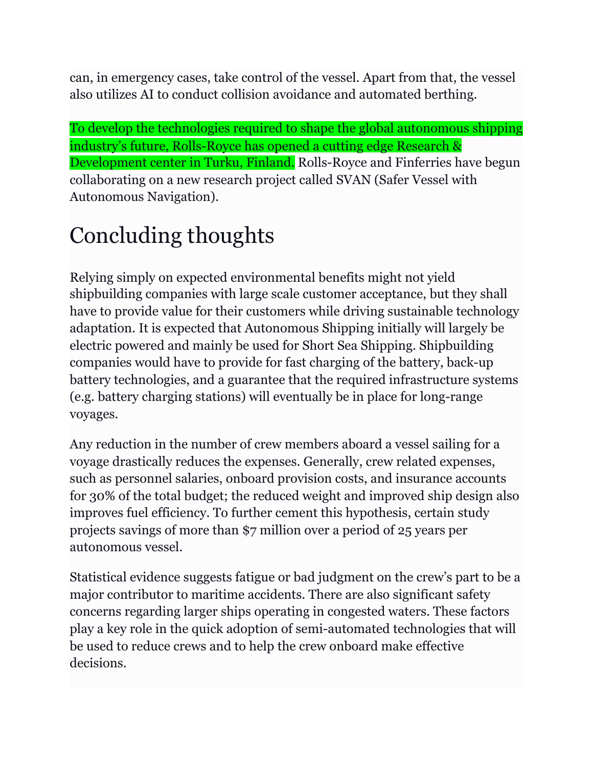can, in emergency cases, take control of the vessel. Apart from that, the vessel also utilizes AI to conduct collision avoidance and automated berthing.

To develop the technologies required to shape the global autonomous shipping industry's future, Rolls-Royce has opened a cutting edge Research & Development center in Turku, Finland. Rolls-Royce and Finferries have begun collaborating on a new research project called SVAN (Safer Vessel with Autonomous Navigation).

# Concluding thoughts

Relying simply on expected environmental benefits might not yield shipbuilding companies with large scale customer acceptance, but they shall have to provide value for their customers while driving sustainable technology adaptation. It is expected that Autonomous Shipping initially will largely be electric powered and mainly be used for Short Sea Shipping. Shipbuilding companies would have to provide for fast charging of the battery, back-up battery technologies, and a guarantee that the required infrastructure systems (e.g. battery charging stations) will eventually be in place for long-range voyages.

Any reduction in the number of crew members aboard a vessel sailing for a voyage drastically reduces the expenses. Generally, crew related expenses, such as personnel salaries, onboard provision costs, and insurance accounts for 30% of the total budget; the reduced weight and improved ship design also improves fuel efficiency. To further cement this hypothesis, certain study projects savings of more than \$7 million over a period of 25 years per autonomous vessel.

Statistical evidence suggests fatigue or bad judgment on the crew's part to be a major contributor to maritime accidents. There are also significant safety concerns regarding larger ships operating in congested waters. These factors play a key role in the quick adoption of semi-automated technologies that will be used to reduce crews and to help the crew onboard make effective decisions.